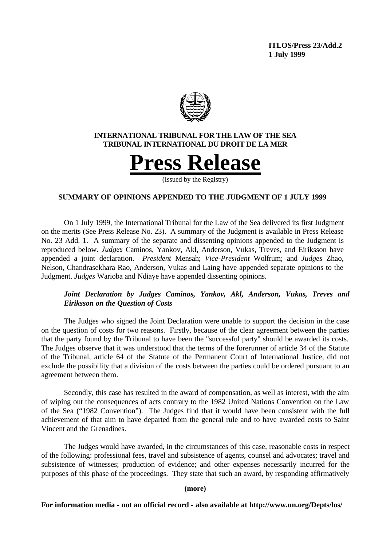**ITLOS/Press 23/Add.2 1 July 1999**



# **INTERNATIONAL TRIBUNAL FOR THE LAW OF THE SEA TRIBUNAL INTERNATIONAL DU DROIT DE LA MER**



(Issued by the Registry)

# **SUMMARY OF OPINIONS APPENDED TO THE JUDGMENT OF 1 JULY 1999**

On 1 July 1999, the International Tribunal for the Law of the Sea delivered its first Judgment on the merits (See Press Release No. 23). A summary of the Judgment is available in Press Release No. 23 Add. 1. A summary of the separate and dissenting opinions appended to the Judgment is reproduced below. *Judges* Caminos, Yankov, Akl, Anderson, Vukas, Treves, and Eiriksson have appended a joint declaration. *President* Mensah; *Vice-President* Wolfrum; and *Judges* Zhao, Nelson, Chandrasekhara Rao, Anderson, Vukas and Laing have appended separate opinions to the Judgment. *Judges* Warioba and Ndiaye have appended dissenting opinions.

# *Joint Declaration by Judges Caminos, Yankov, Akl, Anderson, Vukas, Treves and Eiriksson on the Question of Costs*

The Judges who signed the Joint Declaration were unable to support the decision in the case on the question of costs for two reasons. Firstly, because of the clear agreement between the parties that the party found by the Tribunal to have been the "successful party" should be awarded its costs. The Judges observe that it was understood that the terms of the forerunner of article 34 of the Statute of the Tribunal, article 64 of the Statute of the Permanent Court of International Justice, did not exclude the possibility that a division of the costs between the parties could be ordered pursuant to an agreement between them.

Secondly, this case has resulted in the award of compensation, as well as interest, with the aim of wiping out the consequences of acts contrary to the 1982 United Nations Convention on the Law of the Sea ("1982 Convention"). The Judges find that it would have been consistent with the full achievement of that aim to have departed from the general rule and to have awarded costs to Saint Vincent and the Grenadines.

The Judges would have awarded, in the circumstances of this case, reasonable costs in respect of the following: professional fees, travel and subsistence of agents, counsel and advocates; travel and subsistence of witnesses; production of evidence; and other expenses necessarily incurred for the purposes of this phase of the proceedings. They state that such an award, by responding affirmatively

### **(more)**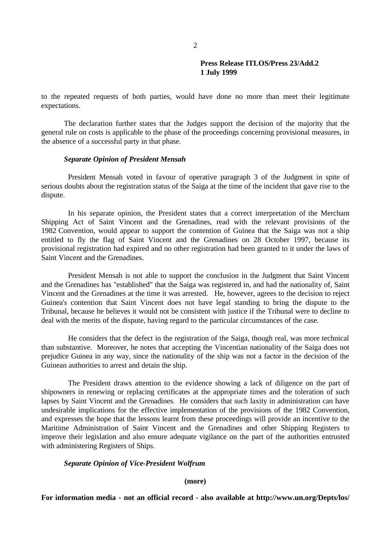to the repeated requests of both parties, would have done no more than meet their legitimate expectations.

The declaration further states that the Judges support the decision of the majority that the general rule on costs is applicable to the phase of the proceedings concerning provisional measures, in the absence of a successful party in that phase.

## *Separate Opinion of President Mensah*

President Mensah voted in favour of operative paragraph 3 of the Judgment in spite of serious doubts about the registration status of the Saiga at the time of the incident that gave rise to the dispute.

In his separate opinion, the President states that a correct interpretation of the Merchant Shipping Act of Saint Vincent and the Grenadines, read with the relevant provisions of the 1982 Convention, would appear to support the contention of Guinea that the Saiga was not a ship entitled to fly the flag of Saint Vincent and the Grenadines on 28 October 1997, because its provisional registration had expired and no other registration had been granted to it under the laws of Saint Vincent and the Grenadines.

President Mensah is not able to support the conclusion in the Judgment that Saint Vincent and the Grenadines has "established" that the Saiga was registered in, and had the nationality of, Saint Vincent and the Grenadines at the time it was arrested. He, however, agrees to the decision to reject Guinea's contention that Saint Vincent does not have legal standing to bring the dispute to the Tribunal, because he believes it would not be consistent with justice if the Tribunal were to decline to deal with the merits of the dispute, having regard to the particular circumstances of the case.

He considers that the defect in the registration of the Saiga, though real, was more technical than substantive. Moreover, he notes that accepting the Vincentian nationality of the Saiga does not prejudice Guinea in any way, since the nationality of the ship was not a factor in the decision of the Guinean authorities to arrest and detain the ship.

The President draws attention to the evidence showing a lack of diligence on the part of shipowners in renewing or replacing certificates at the appropriate times and the toleration of such lapses by Saint Vincent and the Grenadines. He considers that such laxity in administration can have undesirable implications for the effective implementation of the provisions of the 1982 Convention, and expresses the hope that the lessons learnt from these proceedings will provide an incentive to the Maritime Administration of Saint Vincent and the Grenadines and other Shipping Registers to improve their legislation and also ensure adequate vigilance on the part of the authorities entrusted with administering Registers of Ships.

# *Separate Opinion of Vice-President Wolfrum*

#### **(more)**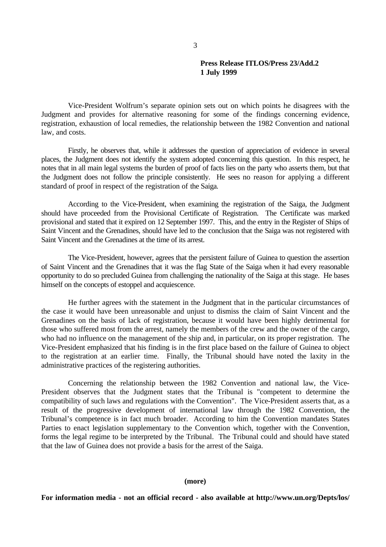Vice-President Wolfrum's separate opinion sets out on which points he disagrees with the Judgment and provides for alternative reasoning for some of the findings concerning evidence, registration, exhaustion of local remedies, the relationship between the 1982 Convention and national law, and costs.

Firstly, he observes that, while it addresses the question of appreciation of evidence in several places, the Judgment does not identify the system adopted concerning this question. In this respect, he notes that in all main legal systems the burden of proof of facts lies on the party who asserts them, but that the Judgment does not follow the principle consistently. He sees no reason for applying a different standard of proof in respect of the registration of the Saiga.

According to the Vice-President, when examining the registration of the Saiga, the Judgment should have proceeded from the Provisional Certificate of Registration. The Certificate was marked provisional and stated that it expired on 12 September 1997. This, and the entry in the Register of Ships of Saint Vincent and the Grenadines, should have led to the conclusion that the Saiga was not registered with Saint Vincent and the Grenadines at the time of its arrest.

The Vice-President, however, agrees that the persistent failure of Guinea to question the assertion of Saint Vincent and the Grenadines that it was the flag State of the Saiga when it had every reasonable opportunity to do so precluded Guinea from challenging the nationality of the Saiga at this stage. He bases himself on the concepts of estoppel and acquiescence.

He further agrees with the statement in the Judgment that in the particular circumstances of the case it would have been unreasonable and unjust to dismiss the claim of Saint Vincent and the Grenadines on the basis of lack of registration, because it would have been highly detrimental for those who suffered most from the arrest, namely the members of the crew and the owner of the cargo, who had no influence on the management of the ship and, in particular, on its proper registration. The Vice-President emphasized that his finding is in the first place based on the failure of Guinea to object to the registration at an earlier time. Finally, the Tribunal should have noted the laxity in the administrative practices of the registering authorities.

Concerning the relationship between the 1982 Convention and national law, the Vice-President observes that the Judgment states that the Tribunal is "competent to determine the compatibility of such laws and regulations with the Convention". The Vice-President asserts that, as a result of the progressive development of international law through the 1982 Convention, the Tribunal's competence is in fact much broader. According to him the Convention mandates States Parties to enact legislation supplementary to the Convention which, together with the Convention, forms the legal regime to be interpreted by the Tribunal. The Tribunal could and should have stated that the law of Guinea does not provide a basis for the arrest of the Saiga.

### **(more)**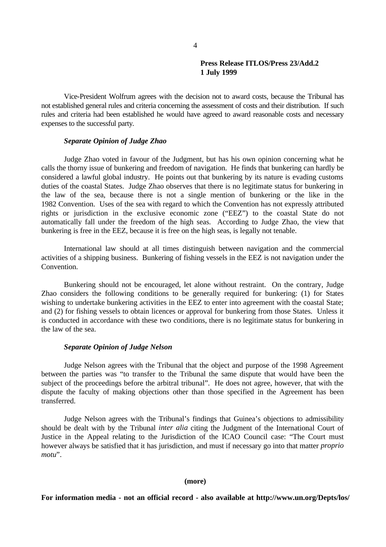Vice-President Wolfrum agrees with the decision not to award costs, because the Tribunal has not established general rules and criteria concerning the assessment of costs and their distribution. If such rules and criteria had been established he would have agreed to award reasonable costs and necessary expenses to the successful party.

## *Separate Opinion of Judge Zhao*

Judge Zhao voted in favour of the Judgment, but has his own opinion concerning what he calls the thorny issue of bunkering and freedom of navigation. He finds that bunkering can hardly be considered a lawful global industry. He points out that bunkering by its nature is evading customs duties of the coastal States. Judge Zhao observes that there is no legitimate status for bunkering in the law of the sea, because there is not a single mention of bunkering or the like in the 1982 Convention. Uses of the sea with regard to which the Convention has not expressly attributed rights or jurisdiction in the exclusive economic zone ("EEZ") to the coastal State do not automatically fall under the freedom of the high seas. According to Judge Zhao, the view that bunkering is free in the EEZ, because it is free on the high seas, is legally not tenable.

International law should at all times distinguish between navigation and the commercial activities of a shipping business. Bunkering of fishing vessels in the EEZ is not navigation under the Convention.

Bunkering should not be encouraged, let alone without restraint. On the contrary, Judge Zhao considers the following conditions to be generally required for bunkering: (1) for States wishing to undertake bunkering activities in the EEZ to enter into agreement with the coastal State; and (2) for fishing vessels to obtain licences or approval for bunkering from those States. Unless it is conducted in accordance with these two conditions, there is no legitimate status for bunkering in the law of the sea.

## *Separate Opinion of Judge Nelson*

Judge Nelson agrees with the Tribunal that the object and purpose of the 1998 Agreement between the parties was "to transfer to the Tribunal the same dispute that would have been the subject of the proceedings before the arbitral tribunal". He does not agree, however, that with the dispute the faculty of making objections other than those specified in the Agreement has been transferred.

Judge Nelson agrees with the Tribunal's findings that Guinea's objections to admissibility should be dealt with by the Tribunal *inter alia* citing the Judgment of the International Court of Justice in the Appeal relating to the Jurisdiction of the ICAO Council case: "The Court must however always be satisfied that it has jurisdiction, and must if necessary go into that matter *proprio motu*".

### **(more)**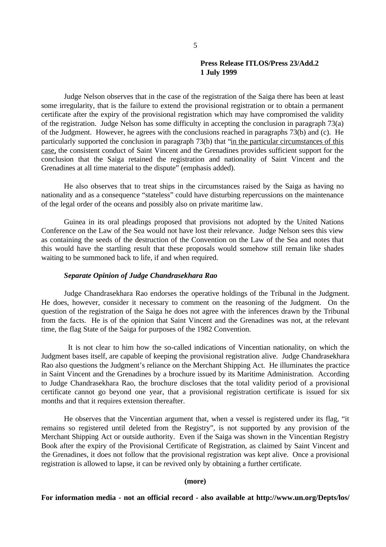Judge Nelson observes that in the case of the registration of the Saiga there has been at least some irregularity, that is the failure to extend the provisional registration or to obtain a permanent certificate after the expiry of the provisional registration which may have compromised the validity of the registration. Judge Nelson has some difficulty in accepting the conclusion in paragraph 73(a) of the Judgment. However, he agrees with the conclusions reached in paragraphs 73(b) and (c). He particularly supported the conclusion in paragraph 73(b) that "in the particular circumstances of this case, the consistent conduct of Saint Vincent and the Grenadines provides sufficient support for the conclusion that the Saiga retained the registration and nationality of Saint Vincent and the Grenadines at all time material to the dispute" (emphasis added).

He also observes that to treat ships in the circumstances raised by the Saiga as having no nationality and as a consequence "stateless" could have disturbing repercussions on the maintenance of the legal order of the oceans and possibly also on private maritime law.

Guinea in its oral pleadings proposed that provisions not adopted by the United Nations Conference on the Law of the Sea would not have lost their relevance. Judge Nelson sees this view as containing the seeds of the destruction of the Convention on the Law of the Sea and notes that this would have the startling result that these proposals would somehow still remain like shades waiting to be summoned back to life, if and when required.

## *Separate Opinion of Judge Chandrasekhara Rao*

Judge Chandrasekhara Rao endorses the operative holdings of the Tribunal in the Judgment. He does, however, consider it necessary to comment on the reasoning of the Judgment. On the question of the registration of the Saiga he does not agree with the inferences drawn by the Tribunal from the facts. He is of the opinion that Saint Vincent and the Grenadines was not, at the relevant time, the flag State of the Saiga for purposes of the 1982 Convention.

It is not clear to him how the so-called indications of Vincentian nationality, on which the Judgment bases itself, are capable of keeping the provisional registration alive. Judge Chandrasekhara Rao also questions the Judgment's reliance on the Merchant Shipping Act. He illuminates the practice in Saint Vincent and the Grenadines by a brochure issued by its Maritime Administration. According to Judge Chandrasekhara Rao, the brochure discloses that the total validity period of a provisional certificate cannot go beyond one year, that a provisional registration certificate is issued for six months and that it requires extension thereafter.

He observes that the Vincentian argument that, when a vessel is registered under its flag, "it remains so registered until deleted from the Registry", is not supported by any provision of the Merchant Shipping Act or outside authority. Even if the Saiga was shown in the Vincentian Registry Book after the expiry of the Provisional Certificate of Registration, as claimed by Saint Vincent and the Grenadines, it does not follow that the provisional registration was kept alive. Once a provisional registration is allowed to lapse, it can be revived only by obtaining a further certificate.

### **(more)**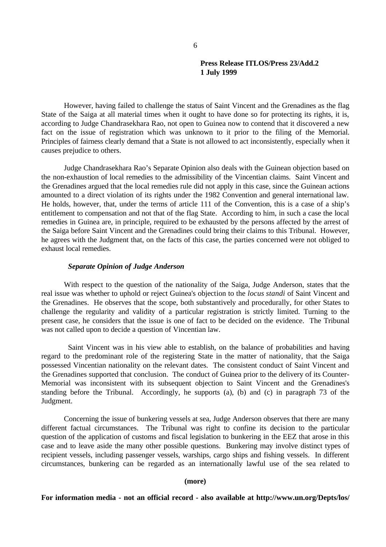However, having failed to challenge the status of Saint Vincent and the Grenadines as the flag State of the Saiga at all material times when it ought to have done so for protecting its rights, it is, according to Judge Chandrasekhara Rao, not open to Guinea now to contend that it discovered a new fact on the issue of registration which was unknown to it prior to the filing of the Memorial. Principles of fairness clearly demand that a State is not allowed to act inconsistently, especially when it causes prejudice to others.

Judge Chandrasekhara Rao's Separate Opinion also deals with the Guinean objection based on the non-exhaustion of local remedies to the admissibility of the Vincentian claims. Saint Vincent and the Grenadines argued that the local remedies rule did not apply in this case, since the Guinean actions amounted to a direct violation of its rights under the 1982 Convention and general international law. He holds, however, that, under the terms of article 111 of the Convention, this is a case of a ship's entitlement to compensation and not that of the flag State. According to him, in such a case the local remedies in Guinea are, in principle, required to be exhausted by the persons affected by the arrest of the Saiga before Saint Vincent and the Grenadines could bring their claims to this Tribunal. However, he agrees with the Judgment that, on the facts of this case, the parties concerned were not obliged to exhaust local remedies.

## *Separate Opinion of Judge Anderson*

With respect to the question of the nationality of the Saiga, Judge Anderson, states that the real issue was whether to uphold or reject Guinea's objection to the *locus standi* of Saint Vincent and the Grenadines. He observes that the scope, both substantively and procedurally, for other States to challenge the regularity and validity of a particular registration is strictly limited. Turning to the present case, he considers that the issue is one of fact to be decided on the evidence. The Tribunal was not called upon to decide a question of Vincentian law.

Saint Vincent was in his view able to establish, on the balance of probabilities and having regard to the predominant role of the registering State in the matter of nationality, that the Saiga possessed Vincentian nationality on the relevant dates. The consistent conduct of Saint Vincent and the Grenadines supported that conclusion. The conduct of Guinea prior to the delivery of its Counter-Memorial was inconsistent with its subsequent objection to Saint Vincent and the Grenadines's standing before the Tribunal. Accordingly, he supports (a), (b) and (c) in paragraph 73 of the Judgment.

Concerning the issue of bunkering vessels at sea, Judge Anderson observes that there are many different factual circumstances. The Tribunal was right to confine its decision to the particular question of the application of customs and fiscal legislation to bunkering in the EEZ that arose in this case and to leave aside the many other possible questions. Bunkering may involve distinct types of recipient vessels, including passenger vessels, warships, cargo ships and fishing vessels. In different circumstances, bunkering can be regarded as an internationally lawful use of the sea related to

#### **(more)**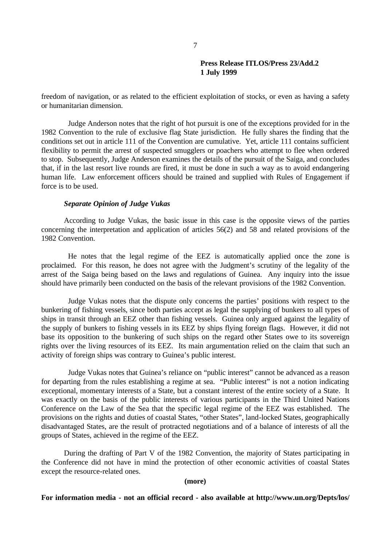freedom of navigation, or as related to the efficient exploitation of stocks, or even as having a safety or humanitarian dimension.

Judge Anderson notes that the right of hot pursuit is one of the exceptions provided for in the 1982 Convention to the rule of exclusive flag State jurisdiction. He fully shares the finding that the conditions set out in article 111 of the Convention are cumulative. Yet, article 111 contains sufficient flexibility to permit the arrest of suspected smugglers or poachers who attempt to flee when ordered to stop. Subsequently, Judge Anderson examines the details of the pursuit of the Saiga, and concludes that, if in the last resort live rounds are fired, it must be done in such a way as to avoid endangering human life. Law enforcement officers should be trained and supplied with Rules of Engagement if force is to be used.

## *Separate Opinion of Judge Vukas*

According to Judge Vukas, the basic issue in this case is the opposite views of the parties concerning the interpretation and application of articles 56(2) and 58 and related provisions of the 1982 Convention.

He notes that the legal regime of the EEZ is automatically applied once the zone is proclaimed. For this reason, he does not agree with the Judgment's scrutiny of the legality of the arrest of the Saiga being based on the laws and regulations of Guinea. Any inquiry into the issue should have primarily been conducted on the basis of the relevant provisions of the 1982 Convention.

Judge Vukas notes that the dispute only concerns the parties' positions with respect to the bunkering of fishing vessels, since both parties accept as legal the supplying of bunkers to all types of ships in transit through an EEZ other than fishing vessels. Guinea only argued against the legality of the supply of bunkers to fishing vessels in its EEZ by ships flying foreign flags. However, it did not base its opposition to the bunkering of such ships on the regard other States owe to its sovereign rights over the living resources of its EEZ. Its main argumentation relied on the claim that such an activity of foreign ships was contrary to Guinea's public interest.

Judge Vukas notes that Guinea's reliance on "public interest" cannot be advanced as a reason for departing from the rules establishing a regime at sea. "Public interest" is not a notion indicating exceptional, momentary interests of a State, but a constant interest of the entire society of a State. It was exactly on the basis of the public interests of various participants in the Third United Nations Conference on the Law of the Sea that the specific legal regime of the EEZ was established. The provisions on the rights and duties of coastal States, "other States", land-locked States, geographically disadvantaged States, are the result of protracted negotiations and of a balance of interests of all the groups of States, achieved in the regime of the EEZ.

During the drafting of Part V of the 1982 Convention, the majority of States participating in the Conference did not have in mind the protection of other economic activities of coastal States except the resource-related ones.

#### **(more)**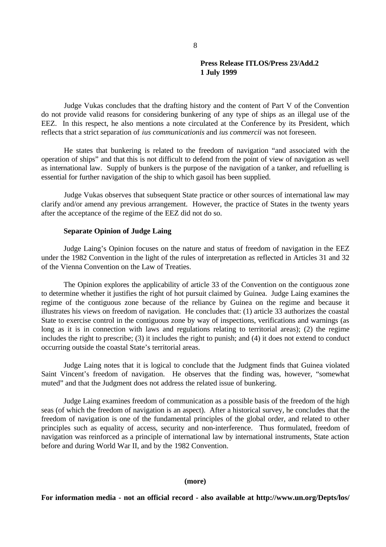Judge Vukas concludes that the drafting history and the content of Part V of the Convention do not provide valid reasons for considering bunkering of any type of ships as an illegal use of the EEZ. In this respect, he also mentions a note circulated at the Conference by its President, which reflects that a strict separation of *ius communicationis* and *ius commercii* was not foreseen.

He states that bunkering is related to the freedom of navigation "and associated with the operation of ships" and that this is not difficult to defend from the point of view of navigation as well as international law. Supply of bunkers is the purpose of the navigation of a tanker, and refuelling is essential for further navigation of the ship to which gasoil has been supplied.

Judge Vukas observes that subsequent State practice or other sources of international law may clarify and/or amend any previous arrangement. However, the practice of States in the twenty years after the acceptance of the regime of the EEZ did not do so.

## **Separate Opinion of Judge Laing**

Judge Laing's Opinion focuses on the nature and status of freedom of navigation in the EEZ under the 1982 Convention in the light of the rules of interpretation as reflected in Articles 31 and 32 of the Vienna Convention on the Law of Treaties.

The Opinion explores the applicability of article 33 of the Convention on the contiguous zone to determine whether it justifies the right of hot pursuit claimed by Guinea. Judge Laing examines the regime of the contiguous zone because of the reliance by Guinea on the regime and because it illustrates his views on freedom of navigation. He concludes that: (1) article 33 authorizes the coastal State to exercise control in the contiguous zone by way of inspections, verifications and warnings (as long as it is in connection with laws and regulations relating to territorial areas); (2) the regime includes the right to prescribe; (3) it includes the right to punish; and (4) it does not extend to conduct occurring outside the coastal State's territorial areas.

Judge Laing notes that it is logical to conclude that the Judgment finds that Guinea violated Saint Vincent's freedom of navigation. He observes that the finding was, however, "somewhat muted" and that the Judgment does not address the related issue of bunkering.

Judge Laing examines freedom of communication as a possible basis of the freedom of the high seas (of which the freedom of navigation is an aspect). After a historical survey, he concludes that the freedom of navigation is one of the fundamental principles of the global order, and related to other principles such as equality of access, security and non-interference. Thus formulated, freedom of navigation was reinforced as a principle of international law by international instruments, State action before and during World War II, and by the 1982 Convention.

#### **(more)**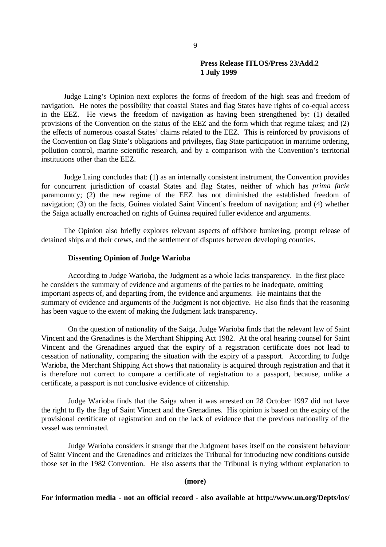Judge Laing's Opinion next explores the forms of freedom of the high seas and freedom of navigation. He notes the possibility that coastal States and flag States have rights of co-equal access in the EEZ. He views the freedom of navigation as having been strengthened by: (1) detailed provisions of the Convention on the status of the EEZ and the form which that regime takes; and (2) the effects of numerous coastal States' claims related to the EEZ. This is reinforced by provisions of the Convention on flag State's obligations and privileges, flag State participation in maritime ordering, pollution control, marine scientific research, and by a comparison with the Convention's territorial institutions other than the EEZ.

Judge Laing concludes that: (1) as an internally consistent instrument, the Convention provides for concurrent jurisdiction of coastal States and flag States, neither of which has *prima facie* paramountcy; (2) the new regime of the EEZ has not diminished the established freedom of navigation; (3) on the facts, Guinea violated Saint Vincent's freedom of navigation; and (4) whether the Saiga actually encroached on rights of Guinea required fuller evidence and arguments.

The Opinion also briefly explores relevant aspects of offshore bunkering, prompt release of detained ships and their crews, and the settlement of disputes between developing counties.

## **Dissenting Opinion of Judge Warioba**

According to Judge Warioba, the Judgment as a whole lacks transparency. In the first place he considers the summary of evidence and arguments of the parties to be inadequate, omitting important aspects of, and departing from, the evidence and arguments. He maintains that the summary of evidence and arguments of the Judgment is not objective. He also finds that the reasoning has been vague to the extent of making the Judgment lack transparency.

On the question of nationality of the Saiga, Judge Warioba finds that the relevant law of Saint Vincent and the Grenadines is the Merchant Shipping Act 1982. At the oral hearing counsel for Saint Vincent and the Grenadines argued that the expiry of a registration certificate does not lead to cessation of nationality, comparing the situation with the expiry of a passport. According to Judge Warioba, the Merchant Shipping Act shows that nationality is acquired through registration and that it is therefore not correct to compare a certificate of registration to a passport, because, unlike a certificate, a passport is not conclusive evidence of citizenship.

Judge Warioba finds that the Saiga when it was arrested on 28 October 1997 did not have the right to fly the flag of Saint Vincent and the Grenadines. His opinion is based on the expiry of the provisional certificate of registration and on the lack of evidence that the previous nationality of the vessel was terminated.

Judge Warioba considers it strange that the Judgment bases itself on the consistent behaviour of Saint Vincent and the Grenadines and criticizes the Tribunal for introducing new conditions outside those set in the 1982 Convention. He also asserts that the Tribunal is trying without explanation to

### **(more)**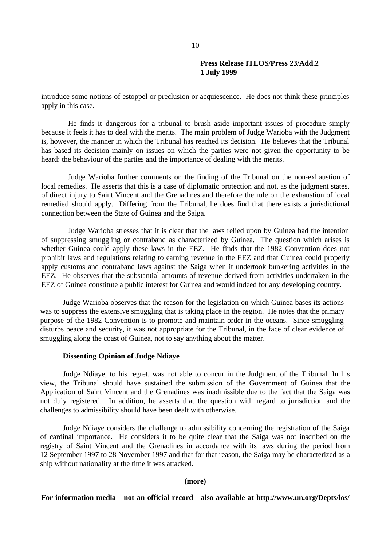introduce some notions of estoppel or preclusion or acquiescence. He does not think these principles apply in this case.

He finds it dangerous for a tribunal to brush aside important issues of procedure simply because it feels it has to deal with the merits. The main problem of Judge Warioba with the Judgment is, however, the manner in which the Tribunal has reached its decision. He believes that the Tribunal has based its decision mainly on issues on which the parties were not given the opportunity to be heard: the behaviour of the parties and the importance of dealing with the merits.

Judge Warioba further comments on the finding of the Tribunal on the non-exhaustion of local remedies. He asserts that this is a case of diplomatic protection and not, as the judgment states, of direct injury to Saint Vincent and the Grenadines and therefore the rule on the exhaustion of local remedied should apply. Differing from the Tribunal, he does find that there exists a jurisdictional connection between the State of Guinea and the Saiga.

Judge Warioba stresses that it is clear that the laws relied upon by Guinea had the intention of suppressing smuggling or contraband as characterized by Guinea. The question which arises is whether Guinea could apply these laws in the EEZ. He finds that the 1982 Convention does not prohibit laws and regulations relating to earning revenue in the EEZ and that Guinea could properly apply customs and contraband laws against the Saiga when it undertook bunkering activities in the EEZ. He observes that the substantial amounts of revenue derived from activities undertaken in the EEZ of Guinea constitute a public interest for Guinea and would indeed for any developing country.

Judge Warioba observes that the reason for the legislation on which Guinea bases its actions was to suppress the extensive smuggling that is taking place in the region. He notes that the primary purpose of the 1982 Convention is to promote and maintain order in the oceans. Since smuggling disturbs peace and security, it was not appropriate for the Tribunal, in the face of clear evidence of smuggling along the coast of Guinea, not to say anything about the matter.

## **Dissenting Opinion of Judge Ndiaye**

Judge Ndiaye, to his regret, was not able to concur in the Judgment of the Tribunal. In his view, the Tribunal should have sustained the submission of the Government of Guinea that the Application of Saint Vincent and the Grenadines was inadmissible due to the fact that the Saiga was not duly registered. In addition, he asserts that the question with regard to jurisdiction and the challenges to admissibility should have been dealt with otherwise.

Judge Ndiaye considers the challenge to admissibility concerning the registration of the Saiga of cardinal importance. He considers it to be quite clear that the Saiga was not inscribed on the registry of Saint Vincent and the Grenadines in accordance with its laws during the period from 12 September 1997 to 28 November 1997 and that for that reason, the Saiga may be characterized as a ship without nationality at the time it was attacked.

### **(more)**